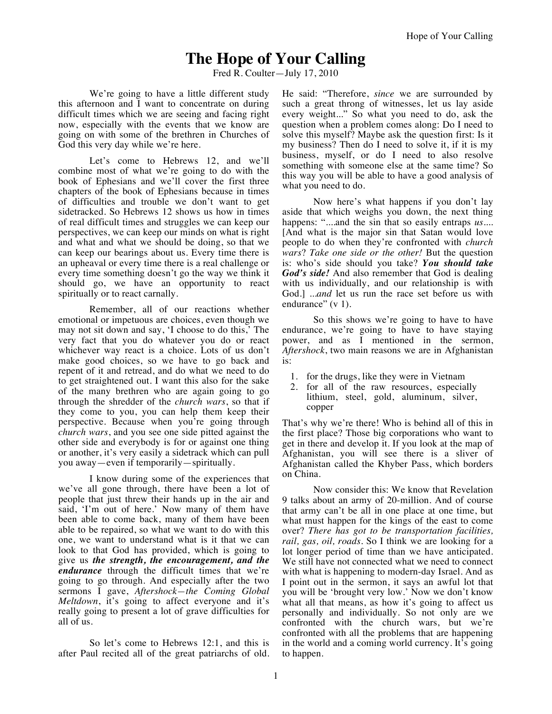## **The Hope of Your Calling**

Fred R. Coulter—July 17, 2010

We're going to have a little different study this afternoon and I want to concentrate on during difficult times which we are seeing and facing right now, especially with the events that we know are going on with some of the brethren in Churches of God this very day while we're here.

Let's come to Hebrews 12, and we'll combine most of what we're going to do with the book of Ephesians and we'll cover the first three chapters of the book of Ephesians because in times of difficulties and trouble we don't want to get sidetracked. So Hebrews 12 shows us how in times of real difficult times and struggles we can keep our perspectives, we can keep our minds on what is right and what and what we should be doing, so that we can keep our bearings about us. Every time there is an upheaval or every time there is a real challenge or every time something doesn't go the way we think it should go, we have an opportunity to react spiritually or to react carnally.

Remember, all of our reactions whether emotional or impetuous are choices, even though we may not sit down and say, 'I choose to do this,' The very fact that you do whatever you do or react whichever way react is a choice. Lots of us don't make good choices, so we have to go back and repent of it and retread, and do what we need to do to get straightened out. I want this also for the sake of the many brethren who are again going to go through the shredder of the *church wars*, so that if they come to you, you can help them keep their perspective. Because when you're going through *church wars*, and you see one side pitted against the other side and everybody is for or against one thing or another, it's very easily a sidetrack which can pull you away—even if temporarily—spiritually.

I know during some of the experiences that we've all gone through, there have been a lot of people that just threw their hands up in the air and said, 'I'm out of here.' Now many of them have been able to come back, many of them have been able to be repaired, so what we want to do with this one, we want to understand what is it that we can look to that God has provided, which is going to give us *the strength, the encouragement, and the endurance* through the difficult times that we're going to go through. And especially after the two sermons I gave, *Aftershock—the Coming Global Meltdown*, it's going to affect everyone and it's really going to present a lot of grave difficulties for all of us.

So let's come to Hebrews 12:1, and this is after Paul recited all of the great patriarchs of old. He said: "Therefore, *since* we are surrounded by such a great throng of witnesses, let us lay aside every weight..." So what you need to do, ask the question when a problem comes along: Do I need to solve this myself? Maybe ask the question first: Is it my business? Then do I need to solve it, if it is my business, myself, or do I need to also resolve something with someone else at the same time? So this way you will be able to have a good analysis of what you need to do.

Now here's what happens if you don't lay aside that which weighs you down, the next thing happens: "....and the sin that so easily entraps *us....* [And what is the major sin that Satan would love people to do when they're confronted with *church wars*? *Take one side or the other!* But the question is: who's side should you take? *You should take God's side!* And also remember that God is dealing with us individually, and our relationship is with God.] ...*and* let us run the race set before us with endurance" (v 1).

So this shows we're going to have to have endurance, we're going to have to have staying power, and as I mentioned in the sermon, *Aftershock*, two main reasons we are in Afghanistan is:

- 1. for the drugs, like they were in Vietnam
- 2. for all of the raw resources, especially lithium, steel, gold, aluminum, silver, copper

That's why we're there! Who is behind all of this in the first place? Those big corporations who want to get in there and develop it. If you look at the map of Afghanistan, you will see there is a sliver of Afghanistan called the Khyber Pass, which borders on China.

Now consider this: We know that Revelation 9 talks about an army of 20-million. And of course that army can't be all in one place at one time, but what must happen for the kings of the east to come over? *There has got to be transportation facilities, rail, gas, oil, roads.* So I think we are looking for a lot longer period of time than we have anticipated. We still have not connected what we need to connect with what is happening to modern-day Israel. And as I point out in the sermon, it says an awful lot that you will be 'brought very low.' Now we don't know what all that means, as how it's going to affect us personally and individually. So not only are we confronted with the church wars, but we're confronted with all the problems that are happening in the world and a coming world currency. It's going to happen.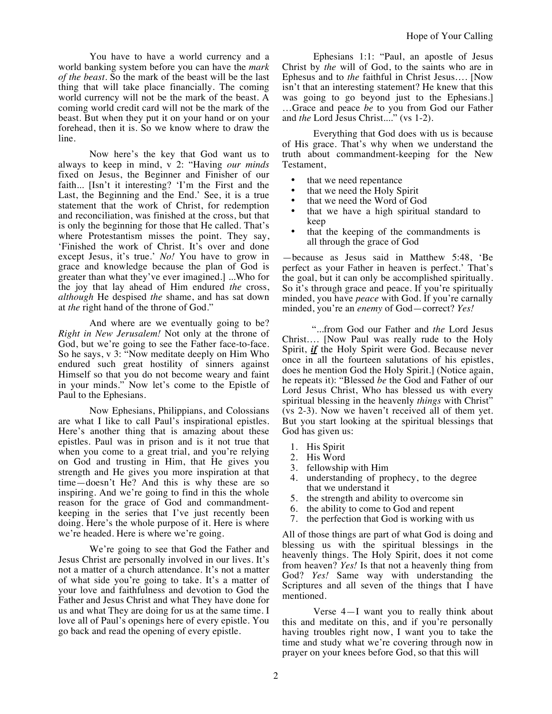You have to have a world currency and a world banking system before you can have the *mark of the beast*. So the mark of the beast will be the last thing that will take place financially. The coming world currency will not be the mark of the beast. A coming world credit card will not be the mark of the beast. But when they put it on your hand or on your forehead, then it is. So we know where to draw the line.

Now here's the key that God want us to always to keep in mind, v 2: "Having *our minds* fixed on Jesus, the Beginner and Finisher of our faith... [Isn't it interesting? 'I'm the First and the Last, the Beginning and the End.' See, it is a true statement that the work of Christ, for redemption and reconciliation, was finished at the cross, but that is only the beginning for those that He called. That's where Protestantism misses the point. They say, 'Finished the work of Christ. It's over and done except Jesus, it's true.' *No!* You have to grow in grace and knowledge because the plan of God is greater than what they've ever imagined.] ...Who for the joy that lay ahead of Him endured *the* cross, *although* He despised *the* shame, and has sat down at *the* right hand of the throne of God."

And where are we eventually going to be? *Right in New Jerusalem!* Not only at the throne of God, but we're going to see the Father face-to-face. So he says, v 3: "Now meditate deeply on Him Who endured such great hostility of sinners against Himself so that you do not become weary and faint in your minds." Now let's come to the Epistle of Paul to the Ephesians.

Now Ephesians, Philippians, and Colossians are what I like to call Paul's inspirational epistles. Here's another thing that is amazing about these epistles. Paul was in prison and is it not true that when you come to a great trial, and you're relying on God and trusting in Him, that He gives you strength and He gives you more inspiration at that time—doesn't He? And this is why these are so inspiring. And we're going to find in this the whole reason for the grace of God and commandmentkeeping in the series that I've just recently been doing. Here's the whole purpose of it. Here is where we're headed. Here is where we're going.

We're going to see that God the Father and Jesus Christ are personally involved in our lives. It's not a matter of a church attendance. It's not a matter of what side you're going to take. It's a matter of your love and faithfulness and devotion to God the Father and Jesus Christ and what They have done for us and what They are doing for us at the same time. I love all of Paul's openings here of every epistle. You go back and read the opening of every epistle.

Ephesians 1:1: "Paul, an apostle of Jesus Christ by *the* will of God, to the saints who are in Ephesus and to *the* faithful in Christ Jesus…. [Now isn't that an interesting statement? He knew that this was going to go beyond just to the Ephesians.] …Grace and peace *be* to you from God our Father and *the* Lord Jesus Christ...." (vs 1-2).

Everything that God does with us is because of His grace. That's why when we understand the truth about commandment-keeping for the New Testament,

- that we need repentance
- that we need the Holy Spirit
- that we need the Word of God
- that we have a high spiritual standard to keep
- that the keeping of the commandments is all through the grace of God

—because as Jesus said in Matthew 5:48, 'Be perfect as your Father in heaven is perfect.' That's the goal, but it can only be accomplished spiritually. So it's through grace and peace. If you're spiritually minded, you have *peace* with God. If you're carnally minded, you're an *enemy* of God—correct? *Yes!*

"...from God our Father and *the* Lord Jesus Christ…. [Now Paul was really rude to the Holy Spirit, *if* the Holy Spirit were God. Because never once in all the fourteen salutations of his epistles, does he mention God the Holy Spirit.] (Notice again, he repeats it): "Blessed *be* the God and Father of our Lord Jesus Christ, Who has blessed us with every spiritual blessing in the heavenly *things* with Christ" (vs 2-3). Now we haven't received all of them yet. But you start looking at the spiritual blessings that God has given us:

- 1. His Spirit
- 2. His Word
- 3. fellowship with Him
- 4. understanding of prophecy, to the degree that we understand it
- 5. the strength and ability to overcome sin
- 6. the ability to come to God and repent
- 7. the perfection that God is working with us

All of those things are part of what God is doing and blessing us with the spiritual blessings in the heavenly things. The Holy Spirit, does it not come from heaven? *Yes!* Is that not a heavenly thing from God? *Yes!* Same way with understanding the Scriptures and all seven of the things that I have mentioned.

Verse 4—I want you to really think about this and meditate on this, and if you're personally having troubles right now, I want you to take the time and study what we're covering through now in prayer on your knees before God, so that this will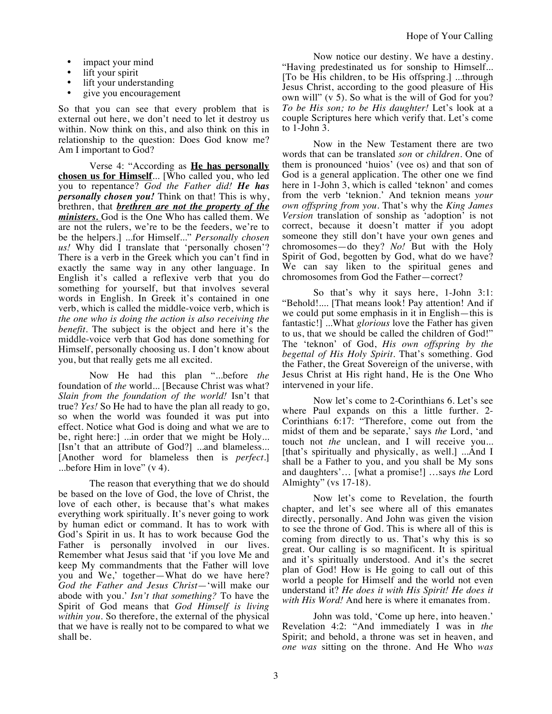- impact your mind
- lift your spirit
- lift your understanding
- give you encouragement

So that you can see that every problem that is external out here, we don't need to let it destroy us within. Now think on this, and also think on this in relationship to the question: Does God know me? Am I important to God?

Verse 4: "According as **He has personally chosen us for Himself**... [Who called you, who led you to repentance? *God the Father did! He has personally chosen you!* Think on that! This is why, brethren, that *brethren are not the property of the ministers.* God is the One Who has called them. We are not the rulers, we're to be the feeders, we're to be the helpers.] ...for Himself..." *Personally chosen us!* Why did I translate that 'personally chosen'? There is a verb in the Greek which you can't find in exactly the same way in any other language. In English it's called a reflexive verb that you do something for yourself, but that involves several words in English. In Greek it's contained in one verb, which is called the middle-voice verb, which is *the one who is doing the action is also receiving the benefit*. The subject is the object and here it's the middle-voice verb that God has done something for Himself, personally choosing us. I don't know about you, but that really gets me all excited.

Now He had this plan "...before *the*  foundation of *the* world... [Because Christ was what? *Slain from the foundation of the world!* Isn't that true? *Yes!* So He had to have the plan all ready to go, so when the world was founded it was put into effect. Notice what God is doing and what we are to be, right here:] ...in order that we might be Holy... [Isn't that an attribute of God?] ...and blameless... [Another word for blameless then is *perfect*.] ...before Him in love" (v 4).

The reason that everything that we do should be based on the love of God, the love of Christ, the love of each other, is because that's what makes everything work spiritually. It's never going to work by human edict or command. It has to work with God's Spirit in us. It has to work because God the Father is personally involved in our lives. Remember what Jesus said that 'if you love Me and keep My commandments that the Father will love you and We,' together—What do we have here? *God the Father and Jesus Christ*—'will make our abode with you.' *Isn't that something?* To have the Spirit of God means that *God Himself is living within you*. So therefore, the external of the physical that we have is really not to be compared to what we shall be.

Now notice our destiny. We have a destiny. "Having predestinated us for sonship to Himself... [To be His children, to be His offspring.] ...through Jesus Christ, according to the good pleasure of His own will" (v 5). So what is the will of God for you? *To be His son; to be His daughter!* Let's look at a couple Scriptures here which verify that. Let's come to 1-John 3.

Now in the New Testament there are two words that can be translated *son* or *children*. One of them is pronounced 'huios' (vee os) and that son of God is a general application. The other one we find here in 1-John 3, which is called 'teknon' and comes from the verb 'teknion.' And teknion means *your own offspring from you.* That's why the *King James Version* translation of sonship as 'adoption' is not correct, because it doesn't matter if you adopt someone they still don't have your own genes and chromosomes—do they? *No!* But with the Holy Spirit of God, begotten by God, what do we have? We can say liken to the spiritual genes and chromosomes from God the Father—correct?

So that's why it says here, 1-John 3:1: "Behold!.... [That means look! Pay attention! And if we could put some emphasis in it in English—this is fantastic!] ...What *glorious* love the Father has given to us, that we should be called the children of God!" The 'teknon' of God, *His own offspring by the begettal of His Holy Spirit.* That's something. God the Father, the Great Sovereign of the universe, with Jesus Christ at His right hand, He is the One Who intervened in your life.

Now let's come to 2-Corinthians 6. Let's see where Paul expands on this a little further. 2- Corinthians 6:17: "Therefore, come out from the midst of them and be separate,' says *the* Lord, 'and touch not *the* unclean, and I will receive you... [that's spiritually and physically, as well.] ...And I shall be a Father to you, and you shall be My sons and daughters'… [what a promise!] …says *the* Lord Almighty" (vs 17-18).

Now let's come to Revelation, the fourth chapter, and let's see where all of this emanates directly, personally. And John was given the vision to see the throne of God. This is where all of this is coming from directly to us. That's why this is so great. Our calling is so magnificent. It is spiritual and it's spiritually understood. And it's the secret plan of God! How is He going to call out of this world a people for Himself and the world not even understand it? *He does it with His Spirit! He does it with His Word!* And here is where it emanates from.

John was told, 'Come up here, into heaven.' Revelation 4:2: "And immediately I was in *the* Spirit; and behold, a throne was set in heaven, and *one was* sitting on the throne. And He Who *was*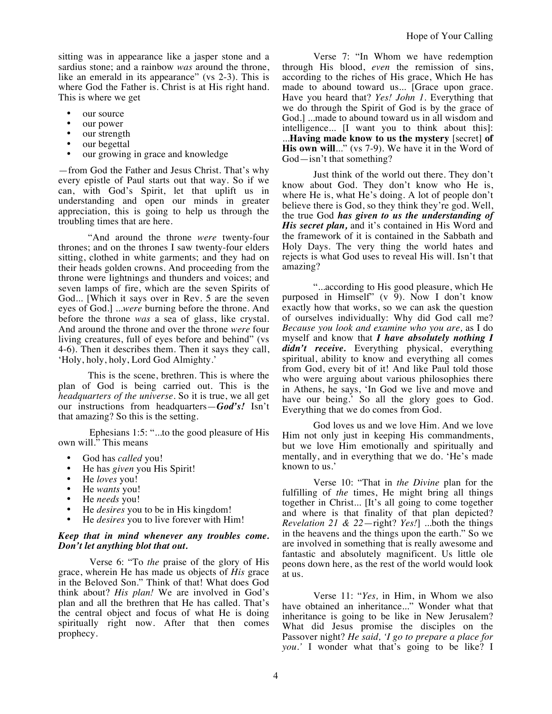sitting was in appearance like a jasper stone and a sardius stone; and a rainbow *was* around the throne, like an emerald in its appearance" (vs 2-3). This is where God the Father is. Christ is at His right hand. This is where we get

- our source
- our power
- our strength
- our begettal
- our growing in grace and knowledge

—from God the Father and Jesus Christ. That's why every epistle of Paul starts out that way. So if we can, with God's Spirit, let that uplift us in understanding and open our minds in greater appreciation, this is going to help us through the troubling times that are here.

"And around the throne *were* twenty-four thrones; and on the thrones I saw twenty-four elders sitting, clothed in white garments; and they had on their heads golden crowns. And proceeding from the throne were lightnings and thunders and voices; and seven lamps of fire, which are the seven Spirits of God... [Which it says over in Rev. 5 are the seven eyes of God.] ...*were* burning before the throne. And before the throne *was* a sea of glass, like crystal. And around the throne and over the throne *were* four living creatures, full of eyes before and behind" (vs 4-6). Then it describes them. Then it says they call, 'Holy, holy, holy, Lord God Almighty.'

This is the scene, brethren. This is where the plan of God is being carried out. This is the *headquarters of the universe*. So it is true, we all get our instructions from headquarters—*God's!* Isn't that amazing? So this is the setting.

Ephesians 1:5: "...to the good pleasure of His own will." This means

- God has *called* you!
- He has *given* you His Spirit!
- He *loves* you!
- He *wants* you!
- He *needs* you!
- He *desires* you to be in His kingdom!
- He *desires* you to live forever with Him!

## *Keep that in mind whenever any troubles come. Don't let anything blot that out.*

Verse 6: "To *the* praise of the glory of His grace, wherein He has made us objects of *His* grace in the Beloved Son." Think of that! What does God think about? *His plan!* We are involved in God's plan and all the brethren that He has called. That's the central object and focus of what He is doing spiritually right now. After that then comes prophecy.

Verse 7: "In Whom we have redemption through His blood, *even* the remission of sins, according to the riches of His grace, Which He has made to abound toward us... [Grace upon grace. Have you heard that? *Yes! John 1.* Everything that we do through the Spirit of God is by the grace of God.] ...made to abound toward us in all wisdom and intelligence... [I want you to think about this]: ...**Having made know to us the mystery** [secret] **of His own will**..." (vs 7-9). We have it in the Word of God—isn't that something?

Just think of the world out there. They don't know about God. They don't know who He is, where He is, what He's doing. A lot of people don't believe there is God, so they think they're god. Well, the true God *has given to us the understanding of His secret plan,* and it's contained in His Word and the framework of it is contained in the Sabbath and Holy Days. The very thing the world hates and rejects is what God uses to reveal His will. Isn't that amazing?

"...according to His good pleasure, which He purposed in Himself" (v 9). Now I don't know exactly how that works, so we can ask the question of ourselves individually: Why did God call me? *Because you look and examine who you are,* as I do myself and know that *I have absolutely nothing I didn't receive.* Everything physical, everything spiritual, ability to know and everything all comes from God, every bit of it! And like Paul told those who were arguing about various philosophies there in Athens, he says, 'In God we live and move and have our being.' So all the glory goes to God. Everything that we do comes from God.

God loves us and we love Him. And we love Him not only just in keeping His commandments, but we love Him emotionally and spiritually and mentally, and in everything that we do. 'He's made known to us.'

Verse 10: "That in *the Divine* plan for the fulfilling of *the* times, He might bring all things together in Christ... [It's all going to come together and where is that finality of that plan depicted? *Revelation 21 & 22*—right? *Yes!*] ...both the things in the heavens and the things upon the earth." So we are involved in something that is really awesome and fantastic and absolutely magnificent. Us little ole peons down here, as the rest of the world would look at us.

Verse 11: "*Yes,* in Him, in Whom we also have obtained an inheritance..." Wonder what that inheritance is going to be like in New Jerusalem? What did Jesus promise the disciples on the Passover night? *He said, 'I go to prepare a place for you.'* I wonder what that's going to be like? I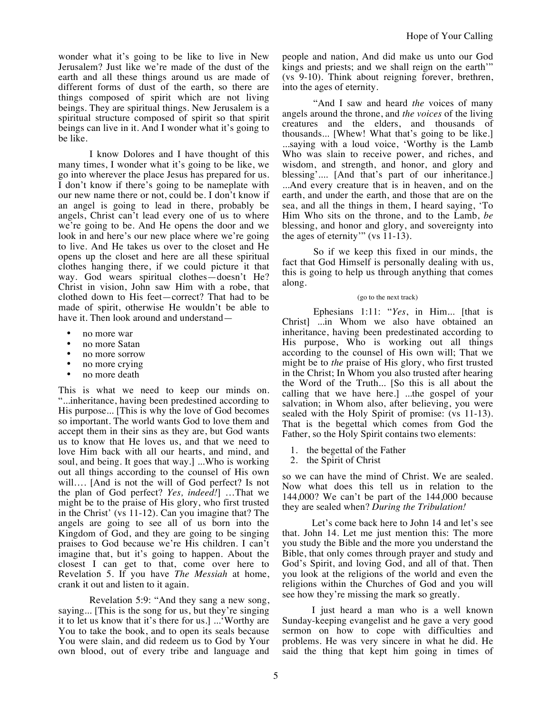wonder what it's going to be like to live in New Jerusalem? Just like we're made of the dust of the earth and all these things around us are made of different forms of dust of the earth, so there are things composed of spirit which are not living beings. They are spiritual things. New Jerusalem is a spiritual structure composed of spirit so that spirit beings can live in it. And I wonder what it's going to be like.

I know Dolores and I have thought of this many times, I wonder what it's going to be like, we go into wherever the place Jesus has prepared for us. I don't know if there's going to be nameplate with our new name there or not, could be. I don't know if an angel is going to lead in there, probably be angels, Christ can't lead every one of us to where we're going to be. And He opens the door and we look in and here's our new place where we're going to live. And He takes us over to the closet and He opens up the closet and here are all these spiritual clothes hanging there, if we could picture it that way. God wears spiritual clothes—doesn't He? Christ in vision, John saw Him with a robe, that clothed down to His feet—correct? That had to be made of spirit, otherwise He wouldn't be able to have it. Then look around and understand—

- no more war
- no more Satan
- no more sorrow
- no more crying
- no more death

This is what we need to keep our minds on. "...inheritance, having been predestined according to His purpose... [This is why the love of God becomes so important. The world wants God to love them and accept them in their sins as they are, but God wants us to know that He loves us, and that we need to love Him back with all our hearts, and mind, and soul, and being. It goes that way.] ...Who is working out all things according to the counsel of His own will.... [And is not the will of God perfect? Is not the plan of God perfect? *Yes, indeed!*] …That we might be to the praise of His glory, who first trusted in the Christ' (vs 11-12). Can you imagine that? The angels are going to see all of us born into the Kingdom of God, and they are going to be singing praises to God because we're His children. I can't imagine that, but it's going to happen. About the closest I can get to that, come over here to Revelation 5. If you have *The Messiah* at home, crank it out and listen to it again.

Revelation 5:9: "And they sang a new song, saying... [This is the song for us, but they're singing it to let us know that it's there for us.] ...'Worthy are You to take the book, and to open its seals because You were slain, and did redeem us to God by Your own blood, out of every tribe and language and

people and nation, And did make us unto our God kings and priests; and we shall reign on the earth'" (vs 9-10). Think about reigning forever, brethren, into the ages of eternity.

"And I saw and heard *the* voices of many angels around the throne, and *the voices* of the living creatures and the elders, and thousands of thousands... [Whew! What that's going to be like.] ...saying with a loud voice, 'Worthy is the Lamb Who was slain to receive power, and riches, and wisdom, and strength, and honor, and glory and blessing'.... [And that's part of our inheritance.] ...And every creature that is in heaven, and on the earth, and under the earth, and those that are on the sea, and all the things in them, I heard saying, 'To Him Who sits on the throne, and to the Lamb, *be*  blessing, and honor and glory, and sovereignty into the ages of eternity'" (vs 11-13).

So if we keep this fixed in our minds, the fact that God Himself is personally dealing with us, this is going to help us through anything that comes along.

## (go to the next track)

Ephesians 1:11: "*Yes*, in Him... [that is Christ] ...in Whom we also have obtained an inheritance, having been predestinated according to His purpose, Who is working out all things according to the counsel of His own will; That we might be to *the* praise of His glory, who first trusted in the Christ; In Whom you also trusted after hearing the Word of the Truth... [So this is all about the calling that we have here.] ...the gospel of your salvation; in Whom also, after believing, you were sealed with the Holy Spirit of promise: (vs 11-13). That is the begettal which comes from God the Father, so the Holy Spirit contains two elements:

- 1. the begettal of the Father
- 2. the Spirit of Christ

so we can have the mind of Christ. We are sealed. Now what does this tell us in relation to the 144,000? We can't be part of the 144,000 because they are sealed when? *During the Tribulation!*

Let's come back here to John 14 and let's see that. John 14. Let me just mention this: The more you study the Bible and the more you understand the Bible, that only comes through prayer and study and God's Spirit, and loving God, and all of that. Then you look at the religions of the world and even the religions within the Churches of God and you will see how they're missing the mark so greatly.

I just heard a man who is a well known Sunday-keeping evangelist and he gave a very good sermon on how to cope with difficulties and problems. He was very sincere in what he did. He said the thing that kept him going in times of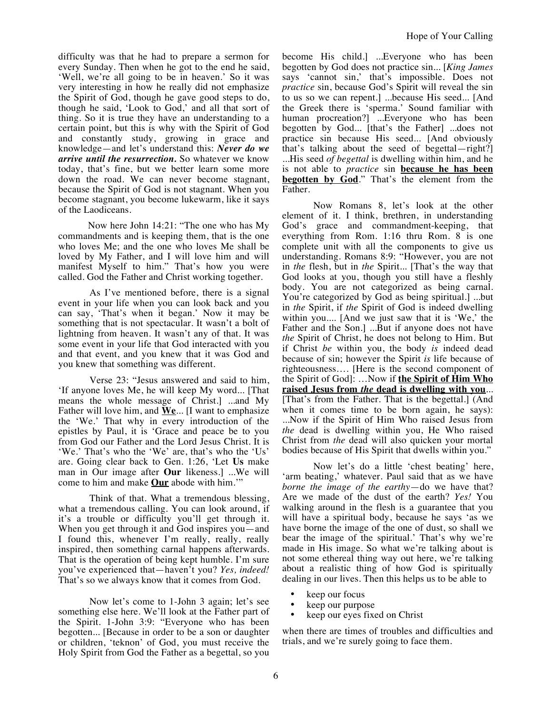difficulty was that he had to prepare a sermon for every Sunday. Then when he got to the end he said, 'Well, we're all going to be in heaven.' So it was very interesting in how he really did not emphasize the Spirit of God, though he gave good steps to do, though he said, 'Look to God,' and all that sort of thing. So it is true they have an understanding to a certain point, but this is why with the Spirit of God and constantly study, growing in grace and knowledge—and let's understand this: *Never do we arrive until the resurrection.* So whatever we know today, that's fine, but we better learn some more down the road. We can never become stagnant, because the Spirit of God is not stagnant. When you become stagnant, you become lukewarm, like it says of the Laodiceans.

Now here John 14:21: "The one who has My commandments and is keeping them, that is the one who loves Me; and the one who loves Me shall be loved by My Father, and I will love him and will manifest Myself to him." That's how you were called. God the Father and Christ working together.

As I've mentioned before, there is a signal event in your life when you can look back and you can say, 'That's when it began.' Now it may be something that is not spectacular. It wasn't a bolt of lightning from heaven. It wasn't any of that. It was some event in your life that God interacted with you and that event, and you knew that it was God and you knew that something was different.

Verse 23: "Jesus answered and said to him, 'If anyone loves Me, he will keep My word... [That means the whole message of Christ.] ...and My Father will love him, and **We**... [I want to emphasize the 'We.' That why in every introduction of the epistles by Paul, it is 'Grace and peace be to you from God our Father and the Lord Jesus Christ. It is 'We.' That's who the 'We' are, that's who the 'Us' are. Going clear back to Gen. 1:26, 'Let **Us** make man in Our image after **Our** likeness.] ...We will come to him and make **Our** abode with him.'"

Think of that. What a tremendous blessing, what a tremendous calling. You can look around, if it's a trouble or difficulty you'll get through it. When you get through it and God inspires you—and I found this, whenever I'm really, really, really inspired, then something carnal happens afterwards. That is the operation of being kept humble. I'm sure you've experienced that—haven't you? *Yes, indeed!* That's so we always know that it comes from God.

Now let's come to 1-John 3 again; let's see something else here. We'll look at the Father part of the Spirit. 1-John 3:9: "Everyone who has been begotten... [Because in order to be a son or daughter or children, 'teknon' of God, you must receive the Holy Spirit from God the Father as a begettal, so you

become His child.] ...Everyone who has been begotten by God does not practice sin... [*King James* says 'cannot sin,' that's impossible. Does not *practice* sin, because God's Spirit will reveal the sin to us so we can repent.] ...because His seed... [And the Greek there is 'sperma.' Sound familiar with human procreation?] ...Everyone who has been begotten by God... [that's the Father] ...does not practice sin because His seed... [And obviously that's talking about the seed of begettal—right?] ...His seed *of begettal* is dwelling within him, and he is not able to *practice* sin **because he has been begotten by God**." That's the element from the Father.

Now Romans 8, let's look at the other element of it. I think, brethren, in understanding God's grace and commandment-keeping, that everything from Rom. 1:16 thru Rom. 8 is one complete unit with all the components to give us understanding. Romans 8:9: "However, you are not in *the* flesh, but in *the* Spirit... [That's the way that God looks at you, though you still have a fleshly body. You are not categorized as being carnal. You're categorized by God as being spiritual.] ...but in *the* Spirit, if *the* Spirit of God is indeed dwelling within you.... [And we just saw that it is 'We,' the Father and the Son.] ...But if anyone does not have *the* Spirit of Christ, he does not belong to Him. But if Christ *be* within you, the body *is* indeed dead because of sin; however the Spirit *is* life because of righteousness…. [Here is the second component of the Spirit of God]: …Now if **the Spirit of Him Who raised Jesus from** *the* **dead is dwelling with you**... [That's from the Father. That is the begettal.] (And when it comes time to be born again, he says): ...Now if the Spirit of Him Who raised Jesus from *the* dead is dwelling within you, He Who raised Christ from *the* dead will also quicken your mortal bodies because of His Spirit that dwells within you."

Now let's do a little 'chest beating' here, 'arm beating,' whatever. Paul said that as we have *borne the image of the earthy*—do we have that? Are we made of the dust of the earth? *Yes!* You walking around in the flesh is a guarantee that you will have a spiritual body, because he says 'as we have borne the image of the one of dust, so shall we bear the image of the spiritual.' That's why we're made in His image. So what we're talking about is not some ethereal thing way out here, we're talking about a realistic thing of how God is spiritually dealing in our lives. Then this helps us to be able to

- keep our focus
- keep our purpose
- keep our eyes fixed on Christ

when there are times of troubles and difficulties and trials, and we're surely going to face them.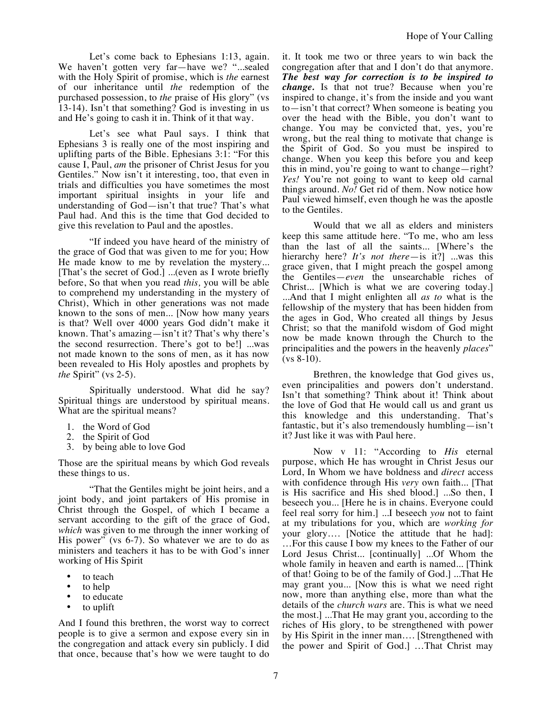Let's come back to Ephesians 1:13, again. We haven't gotten very far—have we? "...sealed with the Holy Spirit of promise, which is *the* earnest of our inheritance until *the* redemption of the purchased possession, to *the* praise of His glory" (vs 13-14). Isn't that something? God is investing in us and He's going to cash it in. Think of it that way.

Let's see what Paul says. I think that Ephesians 3 is really one of the most inspiring and uplifting parts of the Bible. Ephesians 3:1: "For this cause I, Paul, *am* the prisoner of Christ Jesus for you Gentiles." Now isn't it interesting, too, that even in trials and difficulties you have sometimes the most important spiritual insights in your life and understanding of God—isn't that true? That's what Paul had. And this is the time that God decided to give this revelation to Paul and the apostles.

"If indeed you have heard of the ministry of the grace of God that was given to me for you; How He made know to me by revelation the mystery... [That's the secret of God.] ...(even as I wrote briefly before, So that when you read *this,* you will be able to comprehend my understanding in the mystery of Christ), Which in other generations was not made known to the sons of men... [Now how many years is that? Well over 4000 years God didn't make it known. That's amazing—isn't it? That's why there's the second resurrection. There's got to be!] ...was not made known to the sons of men, as it has now been revealed to His Holy apostles and prophets by *the* Spirit" (vs 2-5).

Spiritually understood. What did he say? Spiritual things are understood by spiritual means. What are the spiritual means?

- 1. the Word of God
- 2. the Spirit of God
- 3. by being able to love God

Those are the spiritual means by which God reveals these things to us.

"That the Gentiles might be joint heirs, and a joint body, and joint partakers of His promise in Christ through the Gospel, of which I became a servant according to the gift of the grace of God, *which* was given to me through the inner working of His power" (vs 6-7). So whatever we are to do as ministers and teachers it has to be with God's inner working of His Spirit

- to teach
- to help
- to educate
- to uplift

And I found this brethren, the worst way to correct people is to give a sermon and expose every sin in the congregation and attack every sin publicly. I did that once, because that's how we were taught to do

it. It took me two or three years to win back the congregation after that and I don't do that anymore. *The best way for correction is to be inspired to change.* Is that not true? Because when you're inspired to change, it's from the inside and you want to—isn't that correct? When someone is beating you over the head with the Bible, you don't want to change. You may be convicted that, yes, you're wrong, but the real thing to motivate that change is the Spirit of God. So you must be inspired to change. When you keep this before you and keep this in mind, you're going to want to change—right? *Yes!* You're not going to want to keep old carnal things around. *No!* Get rid of them. Now notice how Paul viewed himself, even though he was the apostle to the Gentiles.

Would that we all as elders and ministers keep this same attitude here. "To me, who am less than the last of all the saints... [Where's the hierarchy here? *It's not there*—is it?] ...was this grace given, that I might preach the gospel among the Gentiles—*even* the unsearchable riches of Christ... [Which is what we are covering today.] ...And that I might enlighten all *as to* what is the fellowship of the mystery that has been hidden from the ages in God, Who created all things by Jesus Christ; so that the manifold wisdom of God might now be made known through the Church to the principalities and the powers in the heavenly *places*"  $(vs 8-10)$ .

Brethren, the knowledge that God gives us, even principalities and powers don't understand. Isn't that something? Think about it! Think about the love of God that He would call us and grant us this knowledge and this understanding. That's fantastic, but it's also tremendously humbling—isn't it? Just like it was with Paul here.

Now v 11: "According to *His* eternal purpose, which He has wrought in Christ Jesus our Lord, In Whom we have boldness and *direct* access with confidence through His *very* own faith... [That is His sacrifice and His shed blood.] ...So then, I beseech you... [Here he is in chains. Everyone could feel real sorry for him.] ...I beseech *you* not to faint at my tribulations for you, which are *working for* your glory…. [Notice the attitude that he had]: …For this cause I bow my knees to the Father of our Lord Jesus Christ... [continually] ...Of Whom the whole family in heaven and earth is named... [Think of that! Going to be of the family of God.] ...That He may grant you... [Now this is what we need right now, more than anything else, more than what the details of the *church wars* are. This is what we need the most.] ...That He may grant you, according to the riches of His glory, to be strengthened with power by His Spirit in the inner man…. [Strengthened with the power and Spirit of God.] …That Christ may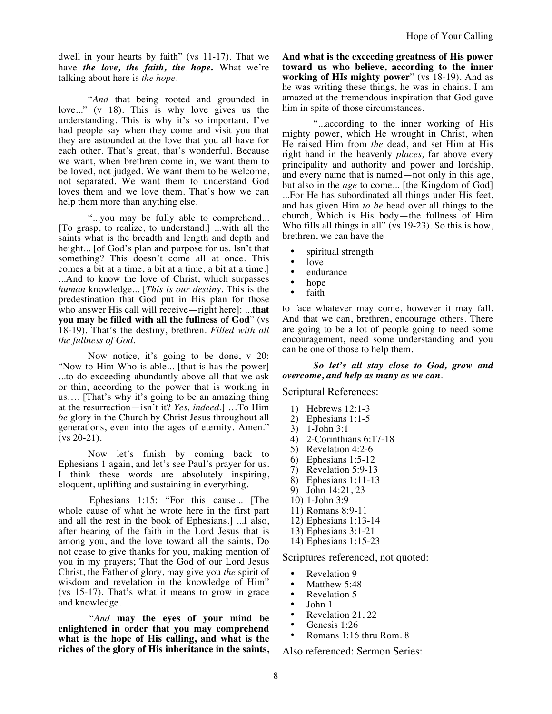dwell in your hearts by faith" (vs 11-17). That we have *the love, the faith, the hope.* What we're talking about here is *the hope*.

"*And* that being rooted and grounded in love..." (v 18). This is why love gives us the understanding. This is why it's so important. I've had people say when they come and visit you that they are astounded at the love that you all have for each other. That's great, that's wonderful. Because we want, when brethren come in, we want them to be loved, not judged. We want them to be welcome, not separated. We want them to understand God loves them and we love them. That's how we can help them more than anything else.

"...you may be fully able to comprehend... [To grasp, to realize, to understand.] ...with all the saints what is the breadth and length and depth and height... [of God's plan and purpose for us. Isn't that something? This doesn't come all at once. This comes a bit at a time, a bit at a time, a bit at a time.] ...And to know the love of Christ, which surpasses *human* knowledge... [*This is our destiny.* This is the predestination that God put in His plan for those who answer His call will receive—right here]: ...**that you may be filled with all the fullness of God**" (vs 18-19). That's the destiny, brethren. *Filled with all the fullness of God*.

Now notice, it's going to be done, v 20: "Now to Him Who is able... [that is has the power] ...to do exceeding abundantly above all that we ask or thin, according to the power that is working in us…. [That's why it's going to be an amazing thing at the resurrection—isn't it? *Yes, indeed.*] …To Him *be* glory in the Church by Christ Jesus throughout all generations, even into the ages of eternity. Amen." (vs 20-21).

Now let's finish by coming back to Ephesians 1 again, and let's see Paul's prayer for us. I think these words are absolutely inspiring, eloquent, uplifting and sustaining in everything.

Ephesians 1:15: "For this cause... [The whole cause of what he wrote here in the first part and all the rest in the book of Ephesians.] ...I also, after hearing of the faith in the Lord Jesus that is among you, and the love toward all the saints, Do not cease to give thanks for you, making mention of you in my prayers; That the God of our Lord Jesus Christ, the Father of glory, may give you *the* spirit of wisdom and revelation in the knowledge of Him" (vs 15-17). That's what it means to grow in grace and knowledge.

"*And* **may the eyes of your mind be enlightened in order that you may comprehend what is the hope of His calling, and what is the riches of the glory of His inheritance in the saints,**  **And what is the exceeding greatness of His power toward us who believe, according to the inner working of HIs mighty power**" (vs 18-19). And as he was writing these things, he was in chains. I am amazed at the tremendous inspiration that God gave him in spite of those circumstances.

"...according to the inner working of His mighty power, which He wrought in Christ, when He raised Him from *the* dead, and set Him at His right hand in the heavenly *places,* far above every principality and authority and power and lordship, and every name that is named—not only in this age, but also in the *age* to come... [the Kingdom of God] ...For He has subordinated all things under His feet, and has given Him *to be* head over all things to the church, Which is His body—the fullness of Him Who fills all things in all" (vs 19-23). So this is how, brethren, we can have the

- spiritual strength
- love
- endurance
- hope
- faith

to face whatever may come, however it may fall. And that we can, brethren, encourage others. There are going to be a lot of people going to need some encouragement, need some understanding and you can be one of those to help them.

*So let's all stay close to God, grow and overcome, and help as many as we can.* 

## Scriptural References:

- 1) Hebrews 12:1-3
- 2) Ephesians 1:1-5
- 3) 1-John 3:1
- 4) 2-Corinthians 6:17-18
- 5) Revelation 4:2-6
- 
- 6) Ephesians 1:5-12 Revelation 5:9-13
- 
- 8) Ephesians 1:11-13<br>9) John 14:21, 23 9) John 14:21, 23
- 10) 1-John 3:9
- 11) Romans 8:9-11
- 12) Ephesians 1:13-14
- 13) Ephesians 3:1-21
- 14) Ephesians 1:15-23

Scriptures referenced, not quoted:

- Revelation 9<br>• Matthew 5:4
- Matthew  $5:48$ <br>• Revelation 5
- Revelation  $5 \cdot$  Iohn 1
- John 1
- Revelation 21, 22
- Genesis 1:26
- Romans 1:16 thru Rom. 8

Also referenced: Sermon Series: